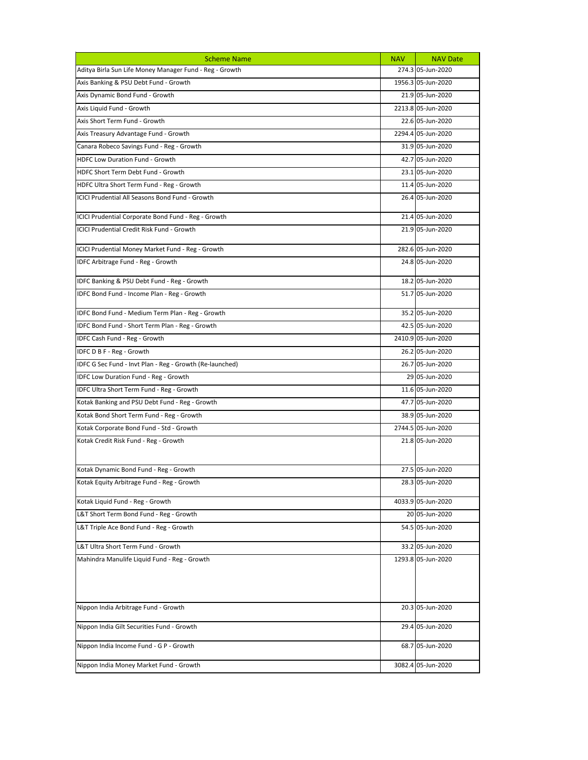| <b>Scheme Name</b>                                       | <b>NAV</b> | <b>NAV Date</b>    |
|----------------------------------------------------------|------------|--------------------|
| Aditya Birla Sun Life Money Manager Fund - Reg - Growth  |            | 274.3 05-Jun-2020  |
| Axis Banking & PSU Debt Fund - Growth                    |            | 1956.3 05-Jun-2020 |
| Axis Dynamic Bond Fund - Growth                          |            | 21.9 05-Jun-2020   |
| Axis Liquid Fund - Growth                                |            | 2213.8 05-Jun-2020 |
| Axis Short Term Fund - Growth                            |            | 22.6 05-Jun-2020   |
| Axis Treasury Advantage Fund - Growth                    |            | 2294.4 05-Jun-2020 |
| Canara Robeco Savings Fund - Reg - Growth                |            | 31.9 05-Jun-2020   |
| <b>HDFC Low Duration Fund - Growth</b>                   |            | 42.7 05-Jun-2020   |
| HDFC Short Term Debt Fund - Growth                       |            | 23.1 05-Jun-2020   |
| HDFC Ultra Short Term Fund - Reg - Growth                |            | 11.4 05-Jun-2020   |
| ICICI Prudential All Seasons Bond Fund - Growth          |            | 26.4 05-Jun-2020   |
| ICICI Prudential Corporate Bond Fund - Reg - Growth      |            | 21.4 05-Jun-2020   |
| ICICI Prudential Credit Risk Fund - Growth               |            | 21.9 05-Jun-2020   |
| ICICI Prudential Money Market Fund - Reg - Growth        |            | 282.6 05-Jun-2020  |
| IDFC Arbitrage Fund - Reg - Growth                       |            | 24.8 05-Jun-2020   |
| IDFC Banking & PSU Debt Fund - Reg - Growth              |            | 18.2 05-Jun-2020   |
| IDFC Bond Fund - Income Plan - Reg - Growth              |            | 51.7 05-Jun-2020   |
| IDFC Bond Fund - Medium Term Plan - Reg - Growth         |            | 35.2 05-Jun-2020   |
| IDFC Bond Fund - Short Term Plan - Reg - Growth          |            | 42.5 05-Jun-2020   |
| IDFC Cash Fund - Reg - Growth                            |            | 2410.9 05-Jun-2020 |
| IDFC D B F - Reg - Growth                                |            | 26.2 05-Jun-2020   |
| IDFC G Sec Fund - Invt Plan - Reg - Growth (Re-launched) |            | 26.7 05-Jun-2020   |
| IDFC Low Duration Fund - Reg - Growth                    |            | 29 05-Jun-2020     |
| IDFC Ultra Short Term Fund - Reg - Growth                |            | 11.6 05-Jun-2020   |
| Kotak Banking and PSU Debt Fund - Reg - Growth           |            | 47.7 05-Jun-2020   |
| Kotak Bond Short Term Fund - Reg - Growth                |            | 38.9 05-Jun-2020   |
| Kotak Corporate Bond Fund - Std - Growth                 |            | 2744.5 05-Jun-2020 |
| Kotak Credit Risk Fund - Reg - Growth                    |            | 21.8 05-Jun-2020   |
| Kotak Dynamic Bond Fund - Reg - Growth                   |            | 27.5 05-Jun-2020   |
| Kotak Equity Arbitrage Fund - Reg - Growth               |            | 28.3 05-Jun-2020   |
| Kotak Liquid Fund - Reg - Growth                         |            | 4033.9 05-Jun-2020 |
| L&T Short Term Bond Fund - Reg - Growth                  |            | 20 05-Jun-2020     |
| L&T Triple Ace Bond Fund - Reg - Growth                  |            | 54.5 05-Jun-2020   |
| L&T Ultra Short Term Fund - Growth                       |            | 33.2 05-Jun-2020   |
| Mahindra Manulife Liquid Fund - Reg - Growth             |            | 1293.8 05-Jun-2020 |
| Nippon India Arbitrage Fund - Growth                     |            | 20.3 05-Jun-2020   |
| Nippon India Gilt Securities Fund - Growth               |            | 29.4 05-Jun-2020   |
| Nippon India Income Fund - G P - Growth                  |            | 68.7 05-Jun-2020   |
| Nippon India Money Market Fund - Growth                  |            | 3082.4 05-Jun-2020 |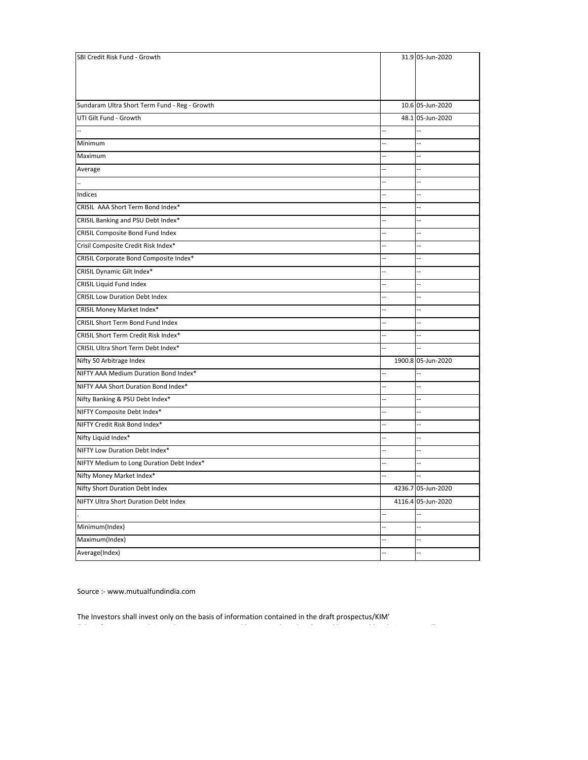| SBI Credit Risk Fund - Growth                 |                          | 31.9 05-Jun-2020         |
|-----------------------------------------------|--------------------------|--------------------------|
|                                               |                          |                          |
|                                               |                          |                          |
|                                               |                          |                          |
| Sundaram Ultra Short Term Fund - Reg - Growth |                          | 10.6 05-Jun-2020         |
| UTI Gilt Fund - Growth                        |                          | 48.1 05-Jun-2020         |
|                                               | $\overline{a}$           | $\ddotsc$                |
| Minimum                                       | ä,                       | Щ,                       |
| Maximum                                       | ш,                       | Щ,                       |
| Average                                       | $\overline{a}$           | Ξ.                       |
|                                               | $\overline{a}$           | Щ.                       |
| Indices                                       | ц,                       | $\overline{\phantom{a}}$ |
| CRISIL AAA Short Term Bond Index*             | $\overline{a}$           | $\overline{\phantom{a}}$ |
| CRISIL Banking and PSU Debt Index*            |                          | Ξ.                       |
| CRISIL Composite Bond Fund Index              | L.                       | Щ,                       |
| Crisil Composite Credit Risk Index*           | ц,                       | $\ddotsc$                |
| CRISIL Corporate Bond Composite Index*        | ÷.                       | --                       |
| CRISIL Dynamic Gilt Index*                    | $\overline{a}$           | Ξ.                       |
| CRISIL Liquid Fund Index                      | $\overline{a}$           | $\overline{\phantom{a}}$ |
| <b>CRISIL Low Duration Debt Index</b>         | $\overline{a}$           | $\ddotsc$                |
| CRISIL Money Market Index*                    | ц,                       | $\overline{\phantom{a}}$ |
| CRISIL Short Term Bond Fund Index             | $\overline{a}$           | $\ddotsc$                |
| CRISIL Short Term Credit Risk Index*          | L.                       | Ξ.                       |
| CRISIL Ultra Short Term Debt Index*           | ÷.                       | $\ddotsc$                |
| Nifty 50 Arbitrage Index                      |                          | 1900.8 05-Jun-2020       |
| NIFTY AAA Medium Duration Bond Index*         | $\overline{\phantom{a}}$ | Щ,                       |
| NIFTY AAA Short Duration Bond Index*          | $\overline{a}$           | $\overline{a}$           |
| Nifty Banking & PSU Debt Index*               | $\overline{a}$           | $\overline{\phantom{a}}$ |
| NIFTY Composite Debt Index*                   | $\overline{\phantom{a}}$ | $\ddotsc$                |
| NIFTY Credit Risk Bond Index*                 | ц,                       | $\overline{\phantom{a}}$ |
| Nifty Liquid Index*                           | L.                       | $\overline{\phantom{a}}$ |
| NIFTY Low Duration Debt Index*                |                          | Щ,                       |
| NIFTY Medium to Long Duration Debt Index*     | ÷.                       | --                       |
| Nifty Money Market Index*                     |                          | Щ,                       |
| Nifty Short Duration Debt Index               |                          | 4236.7 05-Jun-2020       |
| NIFTY Ultra Short Duration Debt Index         |                          | 4116.4 05-Jun-2020       |
|                                               | $\overline{\phantom{a}}$ | --                       |
| Minimum(Index)                                | $\overline{\phantom{a}}$ | $\ddotsc$                |
| Maximum(Index)                                | ц,                       | Щ,                       |
| Average(Index)                                | L.                       | Щ,                       |

Source :- www.mutualfundindia.com

The Investors shall invest only on the basis of information contained in the draft prospectus/KIM'

,我们就是一个人的人,我们就是一个人的人,我们就是一个人的人,我们就是一个人的人,我们就是一个人的人,我们就是一个人的人,我们就是一个人的人,我们就是一个人的人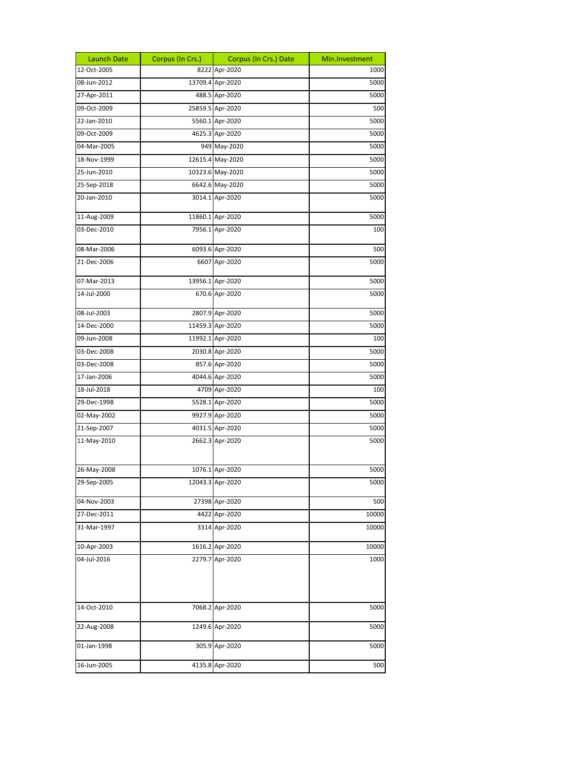| Launch Date | Corpus (In Crs.) | Corpus (In Crs.) Date | Min.Investment |
|-------------|------------------|-----------------------|----------------|
| 12-Oct-2005 |                  | 8222 Apr-2020         | 1000           |
| 08-Jun-2012 |                  | 13709.4 Apr-2020      | 5000           |
| 27-Apr-2011 |                  | 488.5 Apr-2020        | 5000           |
| 09-Oct-2009 |                  | 25859.5 Apr-2020      | 500            |
| 22-Jan-2010 |                  | 5560.1 Apr-2020       | 5000           |
| 09-Oct-2009 |                  | 4625.3 Apr-2020       | 5000           |
| 04-Mar-2005 |                  | 949 May-2020          | 5000           |
| 18-Nov-1999 |                  | 12615.4 May-2020      | 5000           |
| 25-Jun-2010 |                  | 10323.6 May-2020      | 5000           |
| 25-Sep-2018 |                  | 6642.6 May-2020       | 5000           |
| 20-Jan-2010 |                  | 3014.1 Apr-2020       | 5000           |
| 11-Aug-2009 |                  | 11860.1 Apr-2020      | 5000           |
| 03-Dec-2010 |                  | 7956.1 Apr-2020       | 100            |
| 08-Mar-2006 |                  | 6093.6 Apr-2020       | 500            |
| 21-Dec-2006 |                  | 6607 Apr-2020         | 5000           |
| 07-Mar-2013 |                  | 13956.1 Apr-2020      | 5000           |
| 14-Jul-2000 |                  | 670.6 Apr-2020        | 5000           |
| 08-Jul-2003 |                  | 2807.9 Apr-2020       | 5000           |
| 14-Dec-2000 |                  | 11459.3 Apr-2020      | 5000           |
| 09-Jun-2008 |                  | 11992.1 Apr-2020      | 100            |
| 03-Dec-2008 |                  | 2030.8 Apr-2020       | 5000           |
| 03-Dec-2008 |                  | 857.6 Apr-2020        | 5000           |
| 17-Jan-2006 |                  | 4044.6 Apr-2020       | 5000           |
| 18-Jul-2018 |                  | 4709 Apr-2020         | 100            |
| 29-Dec-1998 |                  | 5528.1 Apr-2020       | 5000           |
| 02-May-2002 |                  | 9927.9 Apr-2020       | 5000           |
| 21-Sep-2007 |                  | 4031.5 Apr-2020       | 5000           |
| 11-May-2010 |                  | 2662.3 Apr-2020       | 5000           |
| 26-May-2008 |                  | 1076.1 Apr-2020       | 5000           |
| 29-Sep-2005 |                  | 12043.3 Apr-2020      | 5000           |
| 04-Nov-2003 |                  | 27398 Apr-2020        | 500            |
| 27-Dec-2011 |                  | 4422 Apr-2020         | 10000          |
| 31-Mar-1997 |                  | 3314 Apr-2020         | 10000          |
| 10-Apr-2003 |                  | 1616.2 Apr-2020       | 10000          |
| 04-Jul-2016 |                  | 2279.7 Apr-2020       | 1000           |
| 14-Oct-2010 |                  | 7068.2 Apr-2020       | 5000           |
| 22-Aug-2008 |                  | 1249.6 Apr-2020       | 5000           |
| 01-Jan-1998 |                  | 305.9 Apr-2020        | 5000           |
| 16-Jun-2005 |                  | 4135.8 Apr-2020       | 500            |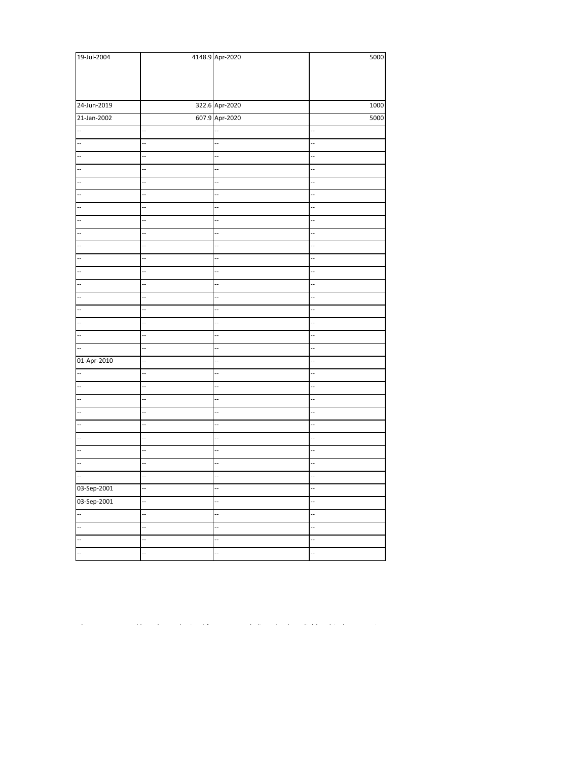| 19-Jul-2004              |                          | 4148.9 Apr-2020          | 5000                     |
|--------------------------|--------------------------|--------------------------|--------------------------|
|                          |                          |                          |                          |
|                          |                          |                          |                          |
|                          |                          |                          |                          |
| 24-Jun-2019              |                          | 322.6 Apr-2020           | 1000                     |
| 21-Jan-2002              |                          | 607.9 Apr-2020           | 5000                     |
|                          | $\overline{\phantom{a}}$ | 4                        | $\overline{\phantom{a}}$ |
|                          |                          | ă.                       | Ξ.                       |
|                          |                          | 4                        |                          |
| $\overline{\phantom{a}}$ | Ξ.                       | Ξ                        | ÷.                       |
| u.                       | Ξ.                       | ă.                       | Ξ.                       |
| $\ddot{\phantom{0}}$     |                          | u.                       | ÷.                       |
| --                       | $\overline{\phantom{a}}$ | ΞĒ,                      | $\overline{\phantom{a}}$ |
| $\overline{\phantom{a}}$ | $\overline{\phantom{a}}$ | ă.                       |                          |
|                          | ÷,                       | ă.                       |                          |
|                          |                          |                          | Ξ.                       |
|                          |                          | Ξ.                       | Ξ.                       |
| Ξ.                       |                          | Ξ.                       | Ξ.                       |
|                          | Ц.                       | Ξ                        | ÷.                       |
| --                       | $\overline{\phantom{a}}$ | u,                       | ÷,                       |
|                          | $\ddot{\phantom{0}}$     | $\ddot{\phantom{a}}$     | L.                       |
| --                       | --                       | ΞĒ,                      | --                       |
| $\overline{\phantom{a}}$ | $\ddot{\phantom{0}}$     | u,                       | Ц.                       |
| Ξ.                       | $\overline{\phantom{a}}$ | L.                       | $\ddot{\phantom{a}}$     |
| 01-Apr-2010              |                          |                          |                          |
|                          | Ξ.                       | Ц,                       | Ξ.                       |
| u.                       |                          | Ξ.                       | Ξ.                       |
| $\overline{\phantom{a}}$ |                          | $\overline{\phantom{a}}$ | ÷,                       |
| $\overline{\phantom{a}}$ | $\overline{\phantom{a}}$ | u,                       | --                       |
|                          | $\ddot{\phantom{0}}$     | $\ddot{\phantom{a}}$     | L.                       |
| --                       | Ξ.                       | u.                       | --                       |
| $\overline{\phantom{a}}$ | $\overline{\phantom{a}}$ | u,                       | Ц.                       |
|                          |                          | Ц,                       | ÷.                       |
| --                       |                          |                          | Ξ.                       |
| 03-Sep-2001              | $\overline{\phantom{a}}$ | $\overline{\phantom{a}}$ | Ŧ                        |
| 03-Sep-2001              | н,                       | 4                        | --                       |
| H                        | Ц.                       | Ξ                        | Ξ                        |
|                          |                          | Ц.                       | ÷,                       |
|                          |                          | Ξ.                       | Ξ.                       |
| $\ddot{\phantom{0}}$     |                          | ÷,                       | 4                        |

"The information, analysis and estimates contained herein are based on (Nirmal bang Wealth Solutions Pvt Ltd) NBWS Research assessment and have been obtained from sources believed to be reliable. This document is meant for the use of the intended recipient only. This document, at best, represents NBWS Research opinion and is meant for general information only. NBWS Research, its directors, officers or employees shall not in any way be responsible for the contents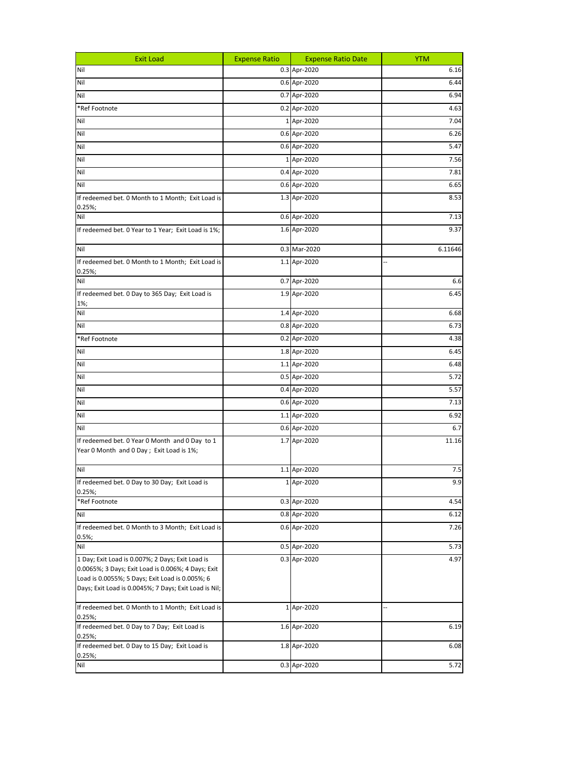| <b>Exit Load</b>                                                                                      | <b>Expense Ratio</b> | <b>Expense Ratio Date</b> | <b>YTM</b> |
|-------------------------------------------------------------------------------------------------------|----------------------|---------------------------|------------|
| Nil                                                                                                   |                      | 0.3 Apr-2020              | 6.16       |
| Nil                                                                                                   |                      | 0.6 Apr-2020              | 6.44       |
| Nil                                                                                                   |                      | 0.7 Apr-2020              | 6.94       |
| *Ref Footnote                                                                                         |                      | 0.2 Apr-2020              | 4.63       |
| Nil                                                                                                   |                      | 1 Apr-2020                | 7.04       |
| Nil                                                                                                   |                      | 0.6 Apr-2020              | 6.26       |
| Nil                                                                                                   |                      | 0.6 Apr-2020              | 5.47       |
| Nil                                                                                                   |                      | 1 Apr-2020                | 7.56       |
| Nil                                                                                                   |                      | 0.4 Apr-2020              | 7.81       |
| Nil                                                                                                   |                      | 0.6 Apr-2020              | 6.65       |
| If redeemed bet. 0 Month to 1 Month; Exit Load is                                                     |                      | 1.3 Apr-2020              | 8.53       |
| $0.25\%;$                                                                                             |                      |                           |            |
| Nil                                                                                                   |                      | 0.6 Apr-2020              | 7.13       |
| If redeemed bet. 0 Year to 1 Year; Exit Load is 1%;                                                   |                      | 1.6 Apr-2020              | 9.37       |
| Nil                                                                                                   |                      | 0.3 Mar-2020              | 6.11646    |
| If redeemed bet. 0 Month to 1 Month; Exit Load is                                                     |                      | 1.1 Apr-2020              |            |
| 0.25%;<br>Nil                                                                                         |                      | 0.7 Apr-2020              | 6.6        |
| If redeemed bet. 0 Day to 365 Day; Exit Load is                                                       |                      | 1.9 Apr-2020              | 6.45       |
| 1%;                                                                                                   |                      |                           |            |
| Nil                                                                                                   |                      | 1.4 Apr-2020              | 6.68       |
| Nil                                                                                                   |                      | 0.8 Apr-2020              | 6.73       |
| *Ref Footnote                                                                                         |                      | 0.2 Apr-2020              | 4.38       |
| Nil                                                                                                   |                      | 1.8 Apr-2020              | 6.45       |
| Nil                                                                                                   |                      | 1.1 Apr-2020              | 6.48       |
| Nil                                                                                                   |                      | 0.5 Apr-2020              | 5.72       |
| Nil                                                                                                   |                      | 0.4 Apr-2020              | 5.57       |
| Nil                                                                                                   |                      | 0.6 Apr-2020              | 7.13       |
| Nil                                                                                                   |                      | 1.1 Apr-2020              | 6.92       |
| Nil                                                                                                   |                      | 0.6 Apr-2020              | 6.7        |
| If redeemed bet. 0 Year 0 Month and 0 Day to 1<br>Year 0 Month and 0 Day; Exit Load is 1%;            |                      | 1.7 Apr-2020              | 11.16      |
| Nil                                                                                                   |                      | 1.1 Apr-2020              | 7.5        |
| If redeemed bet. 0 Day to 30 Day; Exit Load is                                                        |                      | 1 Apr-2020                | 9.9        |
| $0.25\%;$<br>*Ref Footnote                                                                            |                      | 0.3 Apr-2020              | 4.54       |
| Nil                                                                                                   |                      | 0.8 Apr-2020              | 6.12       |
| If redeemed bet. 0 Month to 3 Month; Exit Load is                                                     |                      | 0.6 Apr-2020              | 7.26       |
| 0.5%;                                                                                                 |                      |                           |            |
| Nil                                                                                                   |                      | 0.5 Apr-2020              | 5.73       |
| 1 Day; Exit Load is 0.007%; 2 Days; Exit Load is                                                      |                      | 0.3 Apr-2020              | 4.97       |
| 0.0065%; 3 Days; Exit Load is 0.006%; 4 Days; Exit<br>Load is 0.0055%; 5 Days; Exit Load is 0.005%; 6 |                      |                           |            |
| Days; Exit Load is 0.0045%; 7 Days; Exit Load is Nil;                                                 |                      |                           |            |
|                                                                                                       |                      |                           |            |
| If redeemed bet. 0 Month to 1 Month; Exit Load is<br>0.25%;                                           |                      | 1 Apr-2020                |            |
| If redeemed bet. 0 Day to 7 Day; Exit Load is<br>0.25%;                                               |                      | 1.6 Apr-2020              | 6.19       |
| If redeemed bet. 0 Day to 15 Day; Exit Load is<br>$0.25\%;$                                           |                      | 1.8 Apr-2020              | 6.08       |
| Nil                                                                                                   |                      | 0.3 Apr-2020              | 5.72       |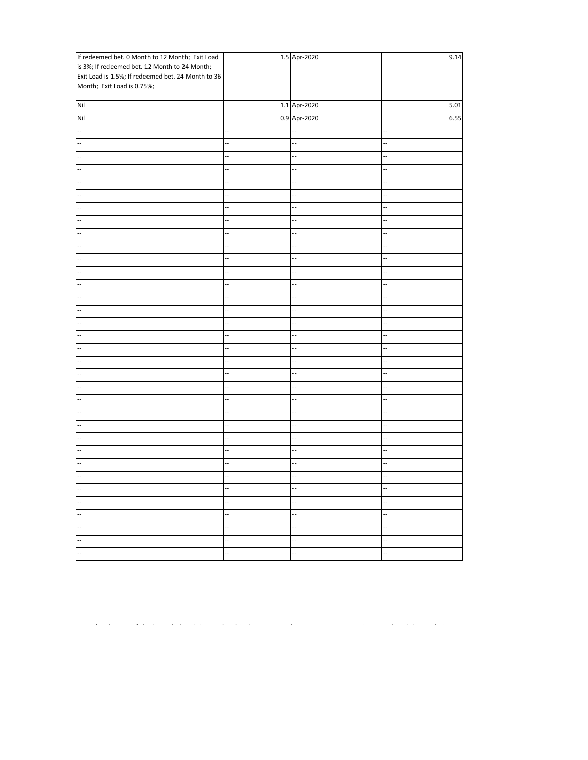| If redeemed bet. 0 Month to 12 Month; Exit Load    |                          | 1.5 Apr-2020             | 9.14 |
|----------------------------------------------------|--------------------------|--------------------------|------|
| is 3%; If redeemed bet. 12 Month to 24 Month;      |                          |                          |      |
| Exit Load is 1.5%; If redeemed bet. 24 Month to 36 |                          |                          |      |
| Month; Exit Load is 0.75%;                         |                          |                          |      |
| Nil                                                |                          | 1.1 Apr-2020             | 5.01 |
| Nil                                                |                          | 0.9 Apr-2020             | 6.55 |
| Ξ.                                                 |                          |                          |      |
| Ξ.                                                 | u,                       |                          | ш,   |
|                                                    | $\overline{a}$           | щ,                       | Ξ.   |
|                                                    |                          | $\overline{\phantom{a}}$ | ÷,   |
|                                                    |                          | Ц,                       | ÷,   |
|                                                    |                          |                          |      |
|                                                    | $\overline{a}$           |                          | Ξ.   |
|                                                    | Щ,                       | Ц,                       | Ξ.   |
|                                                    | u.                       | Ц.                       | н.   |
| --                                                 | $\overline{\phantom{a}}$ | --                       | Ξ.   |
| ÷.                                                 | ц.                       | $\overline{\phantom{a}}$ |      |
| .,                                                 |                          |                          |      |
|                                                    |                          | $\overline{\phantom{a}}$ | L.   |
|                                                    |                          |                          | ш,   |
|                                                    |                          |                          |      |
|                                                    |                          | Ξ.                       | Ξ.   |
| Ξ.                                                 | $\overline{a}$           | $\overline{\phantom{a}}$ | ÷.   |
| ÷.                                                 | Щ,                       |                          | Ξ.   |
| ÷.                                                 | $\overline{a}$           | --                       | Ξ.   |
|                                                    | ц.                       | $\overline{\phantom{a}}$ | ÷.   |
|                                                    | --                       | щ,                       | --   |
|                                                    | ÷.                       |                          | ÷,   |
|                                                    |                          |                          | ш,   |
|                                                    |                          | ц,                       |      |
|                                                    | Ц,                       | Ξ.                       | Ш,   |
| L.                                                 | L.                       | Щ,                       | ÷.   |
| $\overline{a}$                                     | ÷.                       | щ,                       | н.   |
|                                                    |                          | Ц.                       |      |
| --                                                 | щ,                       | щ,                       | Ξ.   |
| Ξ.                                                 | $\overline{\phantom{a}}$ | --                       | --   |
| Ξ.                                                 |                          |                          |      |
|                                                    | ÷.                       |                          |      |
| Щ,                                                 | $\overline{\phantom{a}}$ | $\overline{\phantom{a}}$ |      |
| Ш,                                                 | Ξ.                       | u.                       | Щ.   |

 $\mathcal{L}(\mathcal{L}(\mathcal{L}(\mathcal{L}(\mathcal{L}(\mathcal{L}(\mathcal{L}(\mathcal{L}(\mathcal{L}(\mathcal{L}(\mathcal{L}(\mathcal{L}(\mathcal{L}(\mathcal{L}(\mathcal{L}(\mathcal{L}(\mathcal{L}(\mathcal{L}(\mathcal{L}(\mathcal{L}(\mathcal{L}(\mathcal{L}(\mathcal{L}(\mathcal{L}(\mathcal{L}(\mathcal{L}(\mathcal{L}(\mathcal{L}(\mathcal{L}(\mathcal{L}(\mathcal{L}(\mathcal{L}(\mathcal{L}(\mathcal{L}(\mathcal{L}(\mathcal{L}(\mathcal{$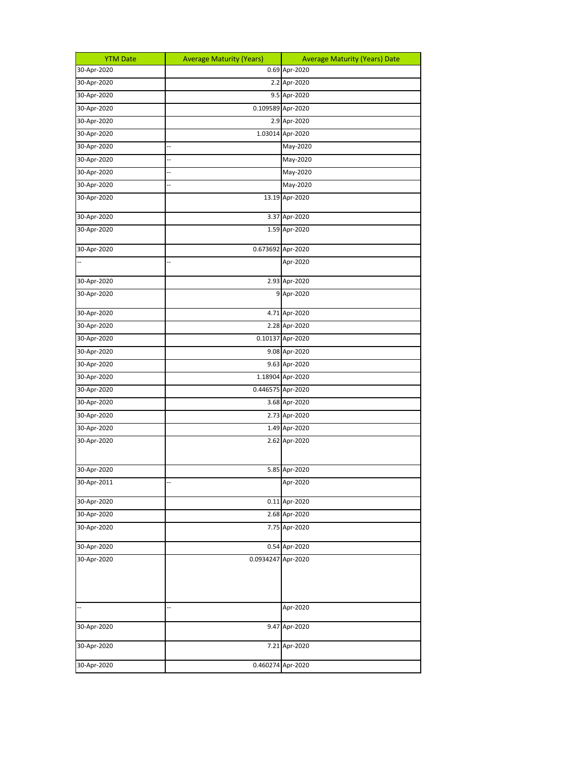| <b>YTM Date</b> | <b>Average Maturity (Years)</b> | <b>Average Maturity (Years) Date</b> |
|-----------------|---------------------------------|--------------------------------------|
| 30-Apr-2020     |                                 | 0.69 Apr-2020                        |
| 30-Apr-2020     |                                 | 2.2 Apr-2020                         |
| 30-Apr-2020     |                                 | 9.5 Apr-2020                         |
| 30-Apr-2020     | 0.109589 Apr-2020               |                                      |
| 30-Apr-2020     |                                 | 2.9 Apr-2020                         |
| 30-Apr-2020     |                                 | 1.03014 Apr-2020                     |
| 30-Apr-2020     |                                 | May-2020                             |
| 30-Apr-2020     |                                 | May-2020                             |
| 30-Apr-2020     |                                 | May-2020                             |
| 30-Apr-2020     | ÷,                              | May-2020                             |
| 30-Apr-2020     |                                 | 13.19 Apr-2020                       |
| 30-Apr-2020     |                                 | 3.37 Apr-2020                        |
| 30-Apr-2020     |                                 | 1.59 Apr-2020                        |
| 30-Apr-2020     |                                 | 0.673692 Apr-2020                    |
|                 | L                               | Apr-2020                             |
| 30-Apr-2020     |                                 | 2.93 Apr-2020                        |
| 30-Apr-2020     |                                 | 9 Apr-2020                           |
| 30-Apr-2020     |                                 | 4.71 Apr-2020                        |
| 30-Apr-2020     |                                 | 2.28 Apr-2020                        |
| 30-Apr-2020     |                                 | 0.10137 Apr-2020                     |
| 30-Apr-2020     |                                 | 9.08 Apr-2020                        |
| 30-Apr-2020     |                                 | 9.63 Apr-2020                        |
| 30-Apr-2020     |                                 | 1.18904 Apr-2020                     |
| 30-Apr-2020     |                                 | 0.446575 Apr-2020                    |
| 30-Apr-2020     |                                 | 3.68 Apr-2020                        |
| 30-Apr-2020     |                                 | 2.73 Apr-2020                        |
| 30-Apr-2020     |                                 | 1.49 Apr-2020                        |
| 30-Apr-2020     |                                 | 2.62 Apr-2020                        |
| 30-Apr-2020     |                                 | 5.85 Apr-2020                        |
| 30-Apr-2011     |                                 | Apr-2020                             |
| 30-Apr-2020     |                                 | 0.11 Apr-2020                        |
| 30-Apr-2020     |                                 | 2.68 Apr-2020                        |
| 30-Apr-2020     |                                 | 7.75 Apr-2020                        |
| 30-Apr-2020     |                                 | 0.54 Apr-2020                        |
| 30-Apr-2020     | 0.0934247 Apr-2020              |                                      |
|                 | i.                              | Apr-2020                             |
| 30-Apr-2020     |                                 | 9.47 Apr-2020                        |
| 30-Apr-2020     |                                 | 7.21 Apr-2020                        |
| 30-Apr-2020     |                                 | 0.460274 Apr-2020                    |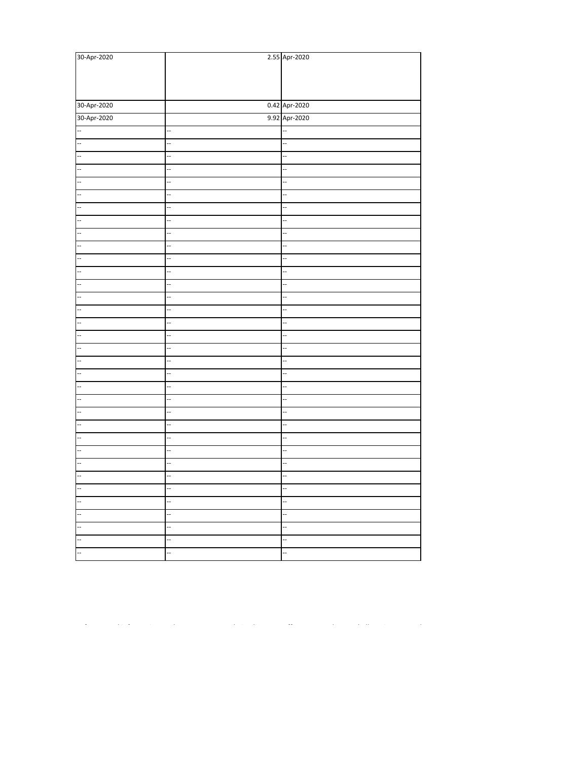| 30-Apr-2020              |                          | 2.55 Apr-2020            |
|--------------------------|--------------------------|--------------------------|
|                          |                          |                          |
|                          |                          |                          |
|                          |                          |                          |
| 30-Apr-2020              |                          | 0.42 Apr-2020            |
| 30-Apr-2020              |                          | 9.92 Apr-2020            |
| $\overline{\phantom{a}}$ |                          |                          |
| $\overline{\phantom{a}}$ | $\overline{\phantom{a}}$ | $\overline{\phantom{a}}$ |
| $\overline{\phantom{a}}$ |                          |                          |
|                          |                          | $\ddot{\phantom{0}}$     |
|                          |                          | Ξ.                       |
| L.                       |                          |                          |
|                          |                          |                          |
| $\overline{\phantom{a}}$ | ц,                       |                          |
| E                        |                          | Ξ.                       |
| $\overline{\phantom{a}}$ |                          | --                       |
| $\overline{\phantom{a}}$ |                          | $\ddot{\phantom{0}}$     |
|                          |                          | --                       |
|                          |                          | $\ddot{\phantom{0}}$     |
|                          |                          | $\ddot{\phantom{0}}$     |
|                          |                          |                          |
| L.,                      |                          |                          |
| $\overline{\phantom{a}}$ |                          |                          |
|                          |                          |                          |
| $\overline{\phantom{a}}$ |                          | --                       |
| <br> --                  |                          | $\ddot{\phantom{0}}$     |
|                          |                          | --                       |
|                          |                          | $\ddot{\phantom{0}}$     |
|                          |                          | $\ddot{\phantom{0}}$     |
|                          |                          |                          |
| --                       |                          |                          |
| Ξ.                       |                          |                          |
|                          |                          | $\ddot{\phantom{0}}$     |
| $-$                      |                          | --                       |
| F                        |                          |                          |
| F                        |                          | --                       |
| $\overline{\phantom{a}}$ |                          |                          |
| F                        |                          |                          |
| --                       |                          | $\overline{\phantom{a}}$ |
| F                        |                          | Ξ.                       |

 $\mathcal{L}(\mathcal{L}(\mathcal{L}(\mathcal{L}(\mathcal{L}(\mathcal{L}(\mathcal{L}(\mathcal{L}(\mathcal{L}(\mathcal{L}(\mathcal{L}(\mathcal{L}(\mathcal{L}(\mathcal{L}(\mathcal{L}(\mathcal{L}(\mathcal{L}(\mathcal{L}(\mathcal{L}(\mathcal{L}(\mathcal{L}(\mathcal{L}(\mathcal{L}(\mathcal{L}(\mathcal{L}(\mathcal{L}(\mathcal{L}(\mathcal{L}(\mathcal{L}(\mathcal{L}(\mathcal{L}(\mathcal{L}(\mathcal{L}(\mathcal{L}(\mathcal{L}(\mathcal{L}(\mathcal{$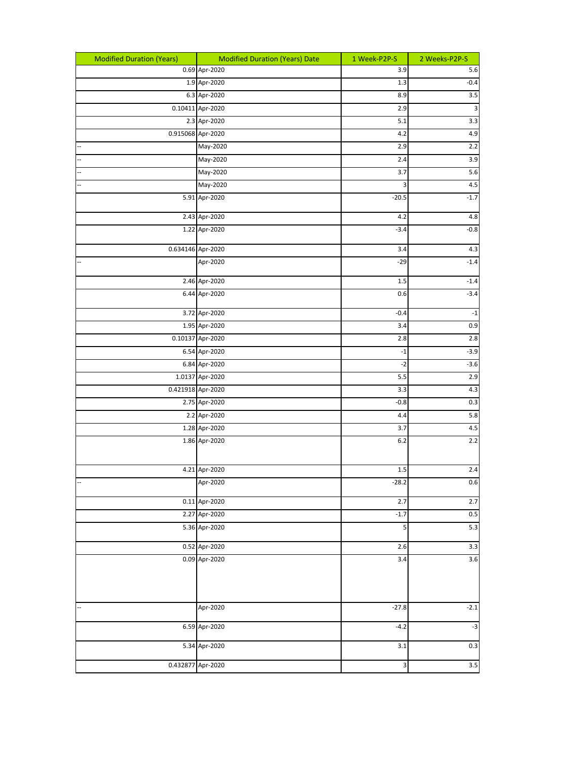| <b>Modified Duration (Years)</b> | <b>Modified Duration (Years) Date</b> | 1 Week-P2P-S | 2 Weeks-P2P-S    |
|----------------------------------|---------------------------------------|--------------|------------------|
|                                  | 0.69 Apr-2020                         | 3.9          | 5.6              |
|                                  | 1.9 Apr-2020                          | 1.3          | $-0.4$           |
|                                  | 6.3 Apr-2020                          | 8.9          | $\overline{3.5}$ |
|                                  | 0.10411 Apr-2020                      | 2.9          | $\mathsf 3$      |
|                                  | 2.3 Apr-2020                          | 5.1          | $\overline{3.3}$ |
|                                  | 0.915068 Apr-2020                     | 4.2          | 4.9              |
| Ξ.                               | May-2020                              | 2.9          | 2.2              |
|                                  | May-2020                              | 2.4          | 3.9              |
|                                  | May-2020                              | 3.7          | $5.6\,$          |
|                                  | May-2020                              | 3            | 4.5              |
|                                  | 5.91 Apr-2020                         | $-20.5$      | $-1.7$           |
|                                  | 2.43 Apr-2020                         | 4.2          | $4.8\,$          |
|                                  | 1.22 Apr-2020                         | $-3.4$       | $-0.8$           |
|                                  | 0.634146 Apr-2020                     | 3.4          | 4.3              |
| --                               | Apr-2020                              | $-29$        | $-1.4$           |
|                                  | 2.46 Apr-2020                         | 1.5          | $-1.4$           |
|                                  | 6.44 Apr-2020                         | 0.6          | $-3.4$           |
|                                  | 3.72 Apr-2020                         | $-0.4$       | $^{\mbox{-}}1$   |
|                                  | 1.95 Apr-2020                         | 3.4          | 0.9              |
|                                  | 0.10137 Apr-2020                      | 2.8          | 2.8              |
|                                  | 6.54 Apr-2020                         | $-1$         | $-3.9$           |
|                                  | 6.84 Apr-2020                         | $-2$         | $-3.6$           |
|                                  | 1.0137 Apr-2020                       | 5.5          | 2.9              |
|                                  | 0.421918 Apr-2020                     | 3.3          | $4.3\,$          |
|                                  | 2.75 Apr-2020                         | $-0.8$       | 0.3              |
|                                  | 2.2 Apr-2020                          | 4.4          | $5.8\,$          |
|                                  | 1.28 Apr-2020                         | 3.7          | $4.5\,$          |
|                                  | 1.86 Apr-2020                         | 6.2          | 2.2              |
|                                  | 4.21 Apr-2020                         | 1.5          | $2.4\,$          |
|                                  | Apr-2020                              | $-28.2$      | 0.6              |
|                                  | 0.11 Apr-2020                         | 2.7          | 2.7              |
|                                  | 2.27 Apr-2020                         | $-1.7$       | $0.5\,$          |
|                                  | 5.36 Apr-2020                         | 5            | $5.3\,$          |
|                                  | 0.52 Apr-2020                         | 2.6          | $3.3\,$          |
|                                  | 0.09 Apr-2020                         | 3.4          | $3.6\,$          |
| $\overline{a}$                   | Apr-2020                              | $-27.8$      | $-2.1$           |
|                                  | 6.59 Apr-2020                         | $-4.2$       | $-3$             |
|                                  | 5.34 Apr-2020                         | 3.1          | $0.3\,$          |
|                                  | 0.432877 Apr-2020                     | 3            | 3.5              |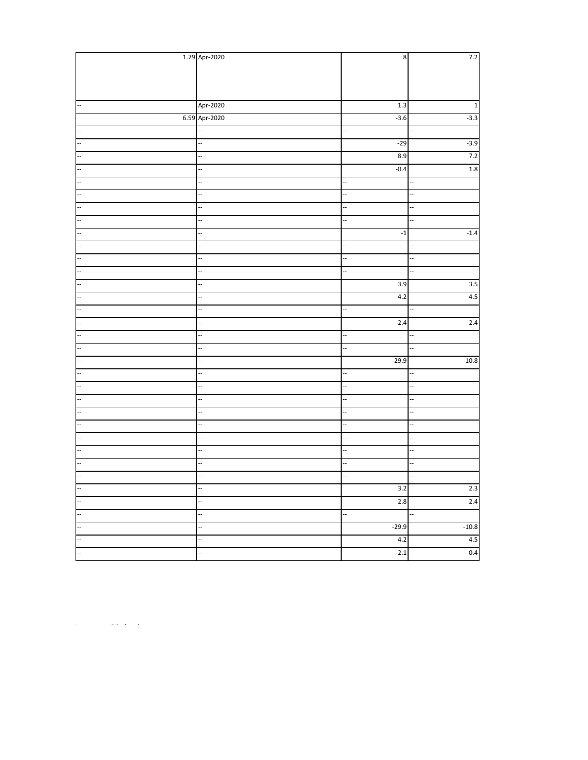|                          | 1.79 Apr-2020            | $\bf 8$                  | 7.2                      |
|--------------------------|--------------------------|--------------------------|--------------------------|
|                          |                          |                          |                          |
|                          |                          |                          |                          |
|                          |                          |                          |                          |
|                          | Apr-2020                 | $1.3\,$                  | $\mathbf 1$              |
|                          | 6.59 Apr-2020            | $-3.6$                   | $-3.3$                   |
|                          |                          | L.                       |                          |
|                          | ÷.                       | $-29$                    | $-3.9$                   |
|                          | ÷.                       | 8.9                      | $7.2$                    |
|                          | $\overline{\phantom{a}}$ | $-0.4$                   | $1.8\,$                  |
|                          | ÷,                       | $\ddot{\phantom{0}}$     |                          |
|                          | L,                       |                          |                          |
|                          |                          | Ξ.                       |                          |
| $\overline{a}$           | ÷.                       | $\overline{\phantom{a}}$ | ä,                       |
| $\ddot{\phantom{a}}$     |                          | $^{\mbox{{\small -1}}}$  | $-1.4$                   |
| $\overline{\phantom{a}}$ | ÷.                       | --                       |                          |
|                          |                          | --                       |                          |
|                          |                          | --                       |                          |
| i.                       | ÷,                       | $\overline{3.9}$         | 3.5                      |
|                          |                          | 4.2                      | $4.5\,$                  |
|                          | i.                       | L,                       |                          |
| $\ddot{\phantom{0}}$     |                          | 2.4                      | $2.4$                    |
| $\overline{a}$           | $\overline{a}$           | $\overline{\phantom{a}}$ |                          |
| $\overline{a}$           | ÷.                       | $\overline{\phantom{a}}$ | L.                       |
| $\overline{\phantom{a}}$ |                          | $-29.9$                  | $-10.8$                  |
|                          | L.                       | Ц,                       | i.                       |
|                          |                          | --                       |                          |
|                          | L,                       | $\ddot{\phantom{0}}$     | ä,                       |
|                          |                          | 4                        |                          |
|                          | i.                       |                          |                          |
|                          | Ξ.                       | Ц.                       | Ц.                       |
| L.                       | $\overline{a}$           | $\overline{\phantom{a}}$ | ä,                       |
|                          |                          | Щ.                       | ÷,                       |
|                          | $\overline{a}$           | $\overline{\phantom{a}}$ | $\overline{\phantom{a}}$ |
| $\overline{\phantom{a}}$ | ÷,                       | 3.2                      | 2.3                      |
| L.                       |                          | 2.8                      | 2.4                      |
|                          |                          | Ц.                       |                          |
| $\overline{\phantom{a}}$ | $\ddot{\phantom{0}}$     | $-29.9$                  | $-10.8$                  |
| Щ.                       | Ξ.                       | 4.2                      | $4.5\,$                  |
| $\overline{a}$           |                          | $-2.1$                   | 0.4                      |

"The information, analysis and estimates contained herein are based on (Nirmal bang Wealth Solutions Pvt Ltd) NBWS Research assessment and have been obtained from sources believed to be reliable. This document is meant for the use of the intended recipient only. This document, at best, represents NBWS Research opinion and is meant for general information only. NBWS Research, its directors, officers or employees shall not in any way be responsible for the contents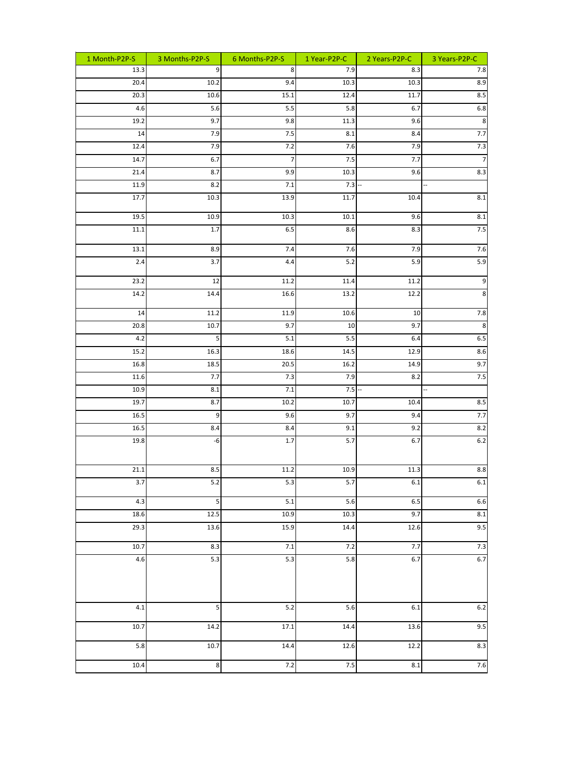| 1 Month-P2P-S | 3 Months-P2P-S          | 6 Months-P2P-S | 1 Year-P2P-C    | 2 Years-P2P-C | 3 Years-P2P-C                   |
|---------------|-------------------------|----------------|-----------------|---------------|---------------------------------|
| 13.3          | 9                       | 8              | 7.9             | 8.3           | 7.8                             |
| 20.4          | 10.2                    | 9.4            | 10.3            | 10.3          | 8.9                             |
| 20.3          | 10.6                    | 15.1           | 12.4            | 11.7          | 8.5                             |
| 4.6           | 5.6                     | 5.5            | 5.8             | 6.7           | 6.8                             |
| 19.2          | 9.7                     | 9.8            | 11.3            | 9.6           | $\bf 8$                         |
| 14            | 7.9                     | $7.5$          | 8.1             | 8.4           | 7.7                             |
| 12.4          | 7.9                     | 7.2            | 7.6             | 7.9           | 7.3                             |
| 14.7          | 6.7                     | 7              | 7.5             | 7.7           | $\overline{7}$                  |
| 21.4<br>11.9  | 8.7                     | 9.9<br>$7.1\,$ | 10.3<br>$7.3 -$ | 9.6           | 8.3<br>ш,                       |
| 17.7          | 8.2<br>10.3             | 13.9           | 11.7            | 10.4          | $\overline{8.1}$                |
|               |                         |                |                 |               |                                 |
| 19.5          | 10.9                    | 10.3           | $10.1\,$        | 9.6           | 8.1                             |
| $11.1\,$      | $1.7\,$                 | 6.5            | 8.6             | 8.3           | 7.5                             |
| 13.1          | 8.9                     | 7.4            | 7.6             | 7.9           | 7.6                             |
| 2.4           | 3.7                     | 4.4            | 5.2             | 5.9           | $5.9\,$                         |
| 23.2          | 12                      | 11.2           | 11.4            | 11.2          | $\boldsymbol{9}$                |
| 14.2          | 14.4                    | 16.6           | 13.2            | 12.2          | $\bf8$                          |
| 14            | 11.2                    | 11.9           | 10.6            | 10            | $7.8$                           |
| 20.8          | 10.7                    | 9.7            | 10              | 9.7           | $_{\infty}$                     |
| 4.2           | 5                       | 5.1            | 5.5             | 6.4           | $6.5\,$                         |
| 15.2          | 16.3                    | 18.6           | 14.5            | 12.9          | 8.6                             |
| 16.8          | 18.5                    | 20.5           | 16.2            | 14.9          | 9.7                             |
| 11.6<br>10.9  | 7.7<br>$8.1\,$          | 7.3<br>$7.1\,$ | 7.9<br>$7.5 -$  | 8.2           | 7.5<br>$\overline{\phantom{a}}$ |
| 19.7          | 8.7                     | 10.2           | 10.7            | 10.4          | 8.5                             |
| 16.5          | $\boldsymbol{9}$        | 9.6            | 9.7             | 9.4           | $7.7\,$                         |
| 16.5          | 8.4                     | 8.4            | 9.1             | 9.2           | 8.2                             |
| 19.8          | -6                      | 1.7            | 5.7             | 6.7           | $6.2\,$                         |
|               |                         |                |                 |               |                                 |
| 21.1          | 8.5                     | 11.2           | 10.9            | 11.3          | $8.8\,$                         |
| 3.7           | 5.2                     | 5.3            | 5.7             | $6.1\,$       | $6.1\,$                         |
| 4.3           | $\overline{\mathbf{5}}$ | 5.1            | 5.6             | $6.5\,$       | 6.6                             |
| 18.6          | $12.5\,$                | 10.9           | $10.3$          | 9.7           | $8.1\,$                         |
| 29.3          | 13.6                    | 15.9           | 14.4            | 12.6          | 9.5                             |
| 10.7          | 8.3                     | $7.1\,$        | 7.2             | $7.7\,$       | 7.3                             |
| $4.6\,$       | 5.3                     | 5.3            | 5.8             | 6.7           | $6.7$                           |
|               |                         |                |                 |               |                                 |
| $4.1\,$       | 5                       | 5.2            | 5.6             | $6.1\,$       | 6.2                             |
| 10.7          | 14.2                    | 17.1           | 14.4            | 13.6          | 9.5                             |
| 5.8           | $10.7\,$                | 14.4           | 12.6            | 12.2          | 8.3                             |
| 10.4          | $\infty$                | 7.2            | $7.5$           | $8.1\,$       | 7.6                             |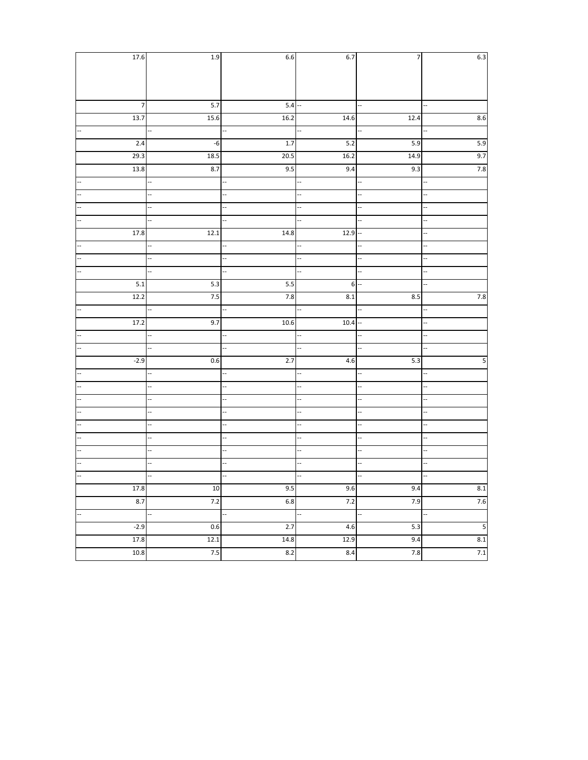| 17.6                     | 1.9               | 6.6                  | 6.7               | 7    | 6.3                      |
|--------------------------|-------------------|----------------------|-------------------|------|--------------------------|
|                          |                   |                      |                   |      |                          |
|                          |                   |                      |                   |      |                          |
|                          |                   |                      |                   |      |                          |
| $\overline{\phantom{a}}$ | $5.7\,$           | $5.4 -$              |                   | --   | ш,                       |
| $\overline{13.7}$        | 15.6              | $\overline{16.2}$    | 14.6              | 12.4 | 8.6                      |
|                          |                   |                      |                   | --   | L.                       |
| 2.4                      | -6                | 1.7                  | $5.2\,$           | 5.9  | 5.9                      |
| 29.3                     | $\overline{18.5}$ | 20.5                 | $\overline{16.2}$ | 14.9 | 9.7                      |
| $\overline{13.8}$        | 8.7               | 9.5                  | 9.4               | 9.3  | $7.8$                    |
| i.                       |                   |                      | J.                | L,   |                          |
|                          |                   |                      | L,                |      |                          |
|                          |                   |                      |                   |      |                          |
| L.                       |                   | Щ,                   |                   |      | Ц.                       |
| 17.8                     | 12.1              | 14.8                 | $12.9 -$          |      | ц.                       |
|                          |                   |                      | L,                |      | u,                       |
|                          |                   | Щ,                   |                   |      | $\overline{a}$           |
|                          |                   | 4                    |                   |      |                          |
| 5.1                      | 5.3               | 5.5                  | $\boldsymbol{6}$  | Ξ.   |                          |
| $\overline{12.2}$        | 7.5               | 7.8                  | 8.1               | 8.5  | 7.8                      |
| i.                       |                   | 4                    |                   |      |                          |
| 17.2                     | 9.7               | 10.6                 | $10.4 -$          |      | L,                       |
| ÷.                       | --                | Ц,                   | ÷,                | --   | Ц.                       |
|                          |                   | Щ,                   |                   | J,   |                          |
| $-2.9$                   | 0.6               | 2.7                  | 4.6               | 5.3  | 5                        |
|                          |                   |                      |                   |      | ÷.                       |
|                          |                   |                      |                   |      |                          |
|                          |                   | $\ddot{\phantom{0}}$ |                   |      | L,                       |
|                          |                   |                      |                   |      | ä,                       |
|                          |                   |                      |                   | Ц.   | ц,                       |
| ä,                       |                   |                      | $\overline{a}$    | L.   |                          |
| J.                       |                   |                      |                   | --   | 4                        |
|                          |                   | --                   | Ц.                |      | $\overline{a}$           |
|                          |                   |                      |                   |      | L,                       |
| $17.8$                   | $10\,$            | 9.5                  | 9.6               | 9.4  | $\pmb{8.1}$              |
| 8.7                      | 7.2               | 6.8                  | 7.2               | 7.9  | 7.6                      |
| i.                       |                   | Ц,                   |                   |      | $\overline{\phantom{a}}$ |
| $-2.9$                   | 0.6               | 2.7                  | 4.6               | 5.3  | 5                        |
| $17.8$                   | 12.1              | $14.8\,$             | 12.9              | 9.4  | $\pmb{8.1}$              |
| $10.8\,$                 | 7.5               | 8.2                  | 8.4               | 7.8  | $7.1\,$                  |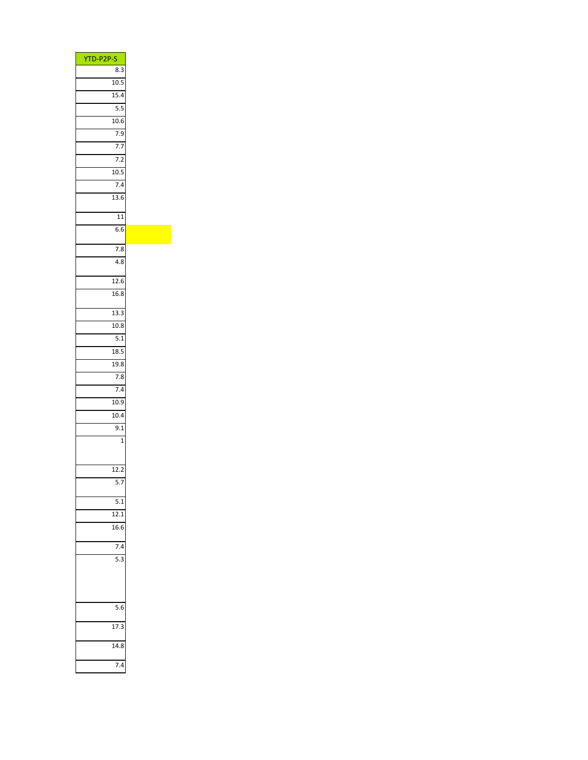| YTD-P2P-S        |
|------------------|
| 8.3              |
| 10.5             |
| 15.4             |
| $\overline{5.5}$ |
| 10.6             |
| 7.9              |
| 7.7              |
| 7.2              |
| 10.5             |
| 7.4              |
|                  |
| 13.6             |
| 11               |
| 6.6              |
|                  |
| 7.8              |
| 4.8              |
|                  |
| 12.6             |
| 16.8             |
|                  |
| 13.3             |
| 10.8             |
| $\overline{5.1}$ |
| 18.5             |
| 19.8             |
| 7.8              |
| 7.4              |
| 10.9             |
|                  |
| 10.4             |
| 9.1              |
| $\mathbf{1}$     |
|                  |
| 12.2             |
| 5.7              |
|                  |
| 5.1              |
| 12.1             |
| 16.6             |
|                  |
| 7.4              |
| $\overline{5.3}$ |
|                  |
|                  |
|                  |
|                  |
| 5.6              |
| 17.3             |
|                  |
| 14.8             |
|                  |
| 7.4              |
|                  |